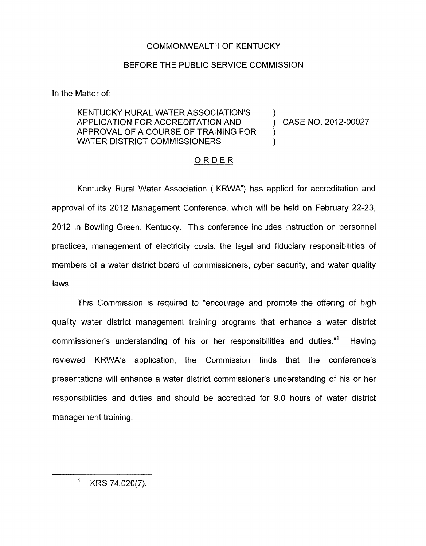## COMMONWEALTH OF KENTUCKY

## BEFORE THE PUBLIC SERVICE COMMISSION

In the Matter of:

## KENTUCKY RURAL WATER ASSOCIATION'S APPLICATION FOR ACCREDITATION AND ) CASE NO. 2012-00027 APPROVAL OF A COURSE OF TRAINING FOR ) WATER DISTRICT COMMISSIONERS

## ORDER

Kentucky Rural Water Association ("KRWA") has applied for accreditation and approval of its 2012 Management Conference, which will be held on February 22-23, 2012 in Bowling Green, Kentucky. This conference includes instruction on personnel practices, management of electricity costs, the legal and fiduciary responsibilities of members of a water district board of commissioners, cyber security, and water quality laws.

This Commission is required to "encourage and promote the offering of high quality water district management training programs that enhance a water district commissioner's understanding of his or her responsibilities and duties."' Having reviewed KRWA's application, the Commission finds that the conference's presentations will enhance a water district commissioner's understanding of his or her responsibilities and duties and should be accredited for 9.0 hours of water district management training.

' KRS 74.020(7).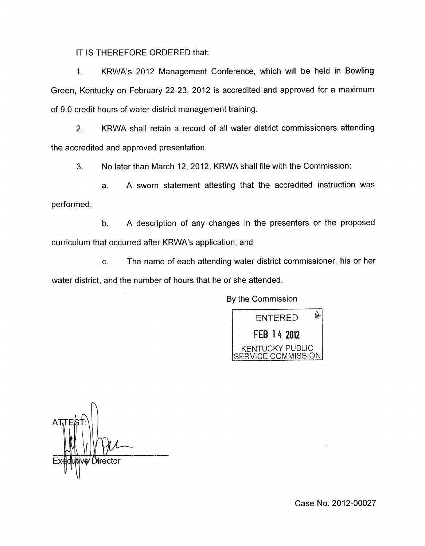IT IS THEREFORE ORDERED that:

1. KRWA's 2012 Management Conference, which will be held in Bowling Green, Kentucky on February 22-23, 2012 is accredited and approved for a maximum of 9.0 credit hours of water district management training.

2. KRWA shall retain a record of all water district commissioners attending the accredited and approved presentation.

**3.** No later than March 12, 2012, KRWA shall file with the Commission:

a. A sworn statement attesting that the accredited instruction was performed;

b. A description of any changes in the presenters or the proposed curriculum that occurred after KRWA's application; and

c. The name of each attending water district commissioner, his or her water district, and the number of hours that he or she attended.



n Director

Case No. 2012-00027